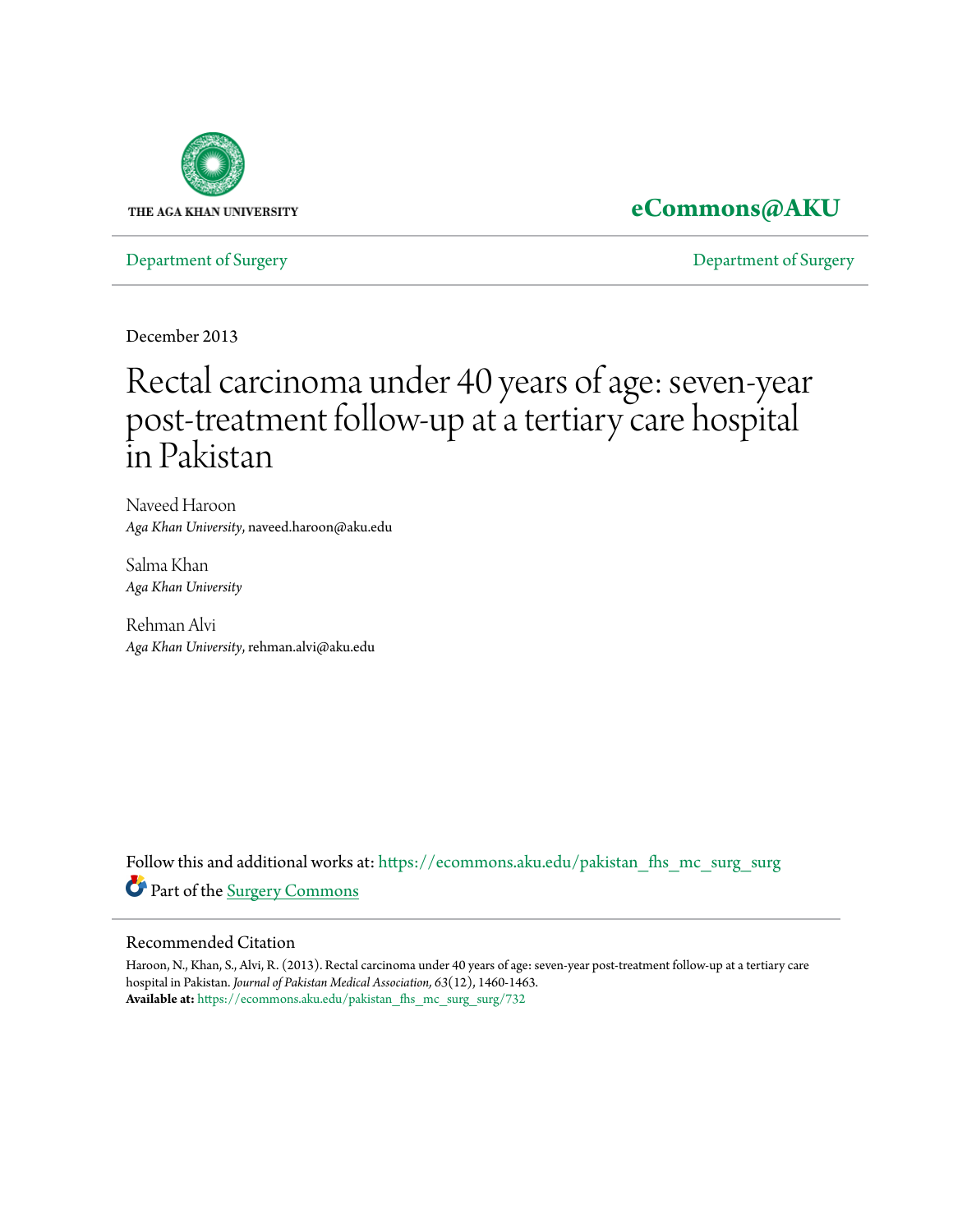

## **[eCommons@AKU](https://ecommons.aku.edu?utm_source=ecommons.aku.edu%2Fpakistan_fhs_mc_surg_surg%2F732&utm_medium=PDF&utm_campaign=PDFCoverPages)**

[Department of Surgery](https://ecommons.aku.edu/pakistan_fhs_mc_surg_surg?utm_source=ecommons.aku.edu%2Fpakistan_fhs_mc_surg_surg%2F732&utm_medium=PDF&utm_campaign=PDFCoverPages) [Department of Surgery](https://ecommons.aku.edu/pakistan_fhs_mc_surg?utm_source=ecommons.aku.edu%2Fpakistan_fhs_mc_surg_surg%2F732&utm_medium=PDF&utm_campaign=PDFCoverPages)

December 2013

# Rectal carcinoma under 40 years of age: seven-year post-treatment follow-up at a tertiary care hospital in Pakistan

Naveed Haroon *Aga Khan University*, naveed.haroon@aku.edu

Salma Khan *Aga Khan University*

Rehman Alvi *Aga Khan University*, rehman.alvi@aku.edu

Follow this and additional works at: [https://ecommons.aku.edu/pakistan\\_fhs\\_mc\\_surg\\_surg](https://ecommons.aku.edu/pakistan_fhs_mc_surg_surg?utm_source=ecommons.aku.edu%2Fpakistan_fhs_mc_surg_surg%2F732&utm_medium=PDF&utm_campaign=PDFCoverPages) Part of the [Surgery Commons](http://network.bepress.com/hgg/discipline/706?utm_source=ecommons.aku.edu%2Fpakistan_fhs_mc_surg_surg%2F732&utm_medium=PDF&utm_campaign=PDFCoverPages)

#### Recommended Citation

Haroon, N., Khan, S., Alvi, R. (2013). Rectal carcinoma under 40 years of age: seven-year post-treatment follow-up at a tertiary care hospital in Pakistan. *Journal of Pakistan Medical Association, 63*(12), 1460-1463. **Available at:** [https://ecommons.aku.edu/pakistan\\_fhs\\_mc\\_surg\\_surg/732](https://ecommons.aku.edu/pakistan_fhs_mc_surg_surg/732)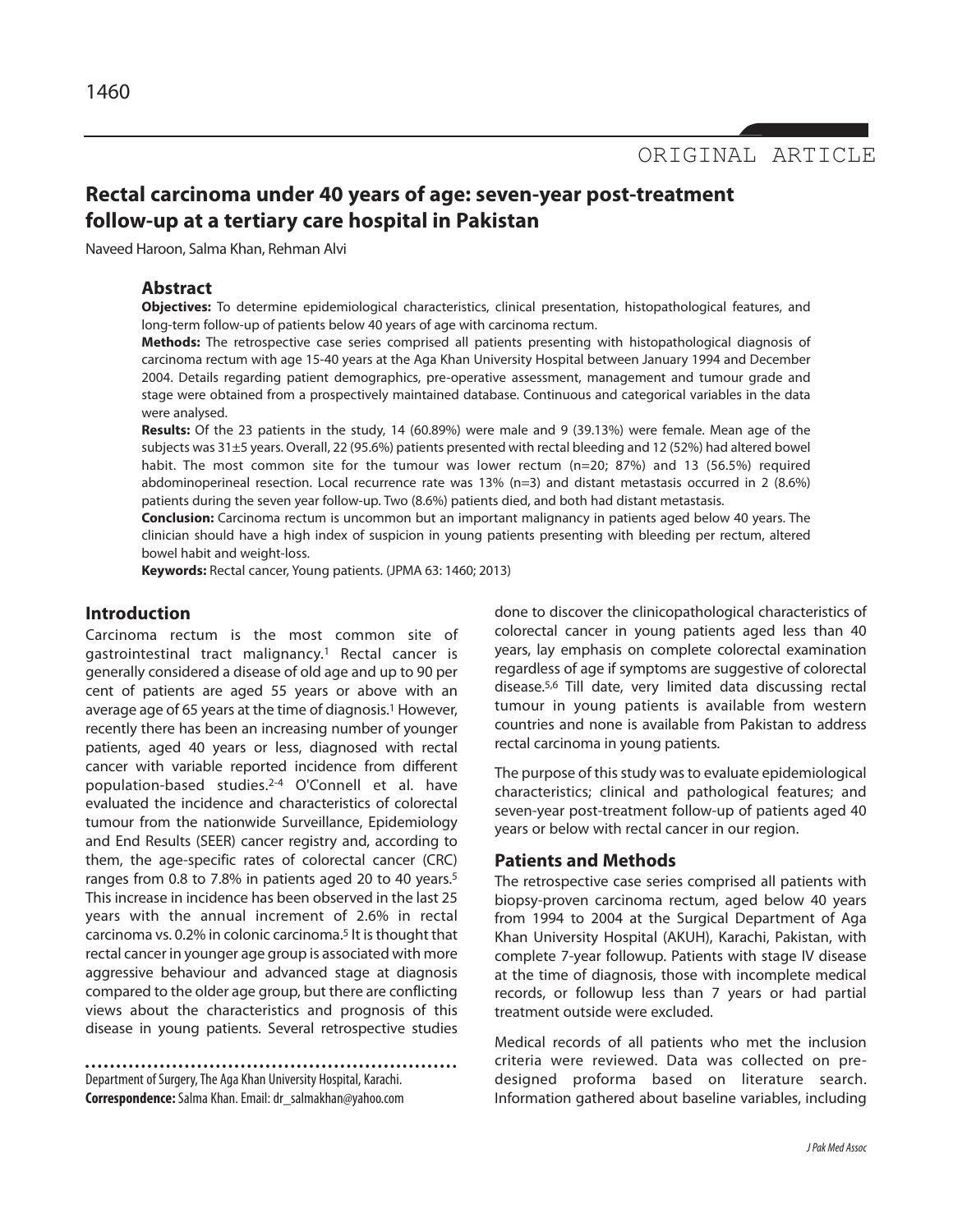### **Rectal carcinoma under 40 years of age: seven-year post-treatment follow-up at a tertiary care hospital in Pakistan**

Naveed Haroon, Salma Khan, Rehman Alvi

#### **Abstract**

**Objectives:** To determine epidemiological characteristics, clinical presentation, histopathological features, and long-term follow-up of patients below 40 years of age with carcinoma rectum.

**Methods:** The retrospective case series comprised all patients presenting with histopathological diagnosis of carcinoma rectum with age 15-40 years at the Aga Khan University Hospital between January 1994 and December 2004. Details regarding patient demographics, pre-operative assessment, management and tumour grade and stage were obtained from a prospectively maintained database. Continuous and categorical variables in the data were analysed.

**Results:** Of the 23 patients in the study, 14 (60.89%) were male and 9 (39.13%) were female. Mean age of the subjects was 31±5 years. Overall, 22 (95.6%) patients presented with rectal bleeding and 12 (52%) had altered bowel habit. The most common site for the tumour was lower rectum (n=20; 87%) and 13 (56.5%) required abdominoperineal resection. Local recurrence rate was 13% (n=3) and distant metastasis occurred in 2 (8.6%) patients during the seven year follow-up. Two (8.6%) patients died, and both had distant metastasis.

**Conclusion:** Carcinoma rectum is uncommon but an important malignancy in patients aged below 40 years. The clinician should have a high index of suspicion in young patients presenting with bleeding per rectum, altered bowel habit and weight-loss.

**Keywords:** Rectal cancer, Young patients. (JPMA 63: 1460; 2013)

#### **Introduction**

Carcinoma rectum is the most common site of gastrointestinal tract malignancy.<sup>1</sup> Rectal cancer is generally considered a disease of old age and up to 90 per cent of patients are aged 55 years or above with an average age of 65 years at the time of diagnosis.<sup>1</sup> However, recently there has been an increasing number of younger patients, aged 40 years or less, diagnosed with rectal cancer with variable reported incidence from different population-based studies.2-4 O'Connell et al. have evaluated the incidence and characteristics of colorectal tumour from the nationwide Surveillance, Epidemiology and End Results (SEER) cancer registry and, according to them, the age-specific rates of colorectal cancer (CRC) ranges from 0.8 to 7.8% in patients aged 20 to 40 years.<sup>5</sup> This increase in incidence has been observed in the last 25 years with the annual increment of 2.6% in rectal carcinoma vs. 0.2% in colonic carcinoma.<sup>5</sup> It is thought that rectal cancer in younger age group is associated with more aggressive behaviour and advanced stage at diagnosis compared to the older age group, but there are conflicting views about the characteristics and prognosis of this disease in young patients. Several retrospective studies

Department of Surgery, The Aga Khan University Hospital, Karachi. **Correspondence:**Salma Khan. Email: dr\_salmakhan@yahoo.com

done to discover the clinicopathological characteristics of colorectal cancer in young patients aged less than 40 years, lay emphasis on complete colorectal examination regardless of age if symptoms are suggestive of colorectal disease.5,6 Till date, very limited data discussing rectal tumour in young patients is available from western countries and none is available from Pakistan to address rectal carcinoma in young patients.

The purpose of this study was to evaluate epidemiological characteristics; clinical and pathological features; and seven-year post-treatment follow-up of patients aged 40 years or below with rectal cancer in our region.

#### **Patients and Methods**

The retrospective case series comprised all patients with biopsy-proven carcinoma rectum, aged below 40 years from 1994 to 2004 at the Surgical Department of Aga Khan University Hospital (AKUH), Karachi, Pakistan, with complete 7-year followup. Patients with stage IV disease at the time of diagnosis, those with incomplete medical records, or followup less than 7 years or had partial treatment outside were excluded.

Medical records of all patients who met the inclusion criteria were reviewed. Data was collected on predesigned proforma based on literature search. Information gathered about baseline variables, including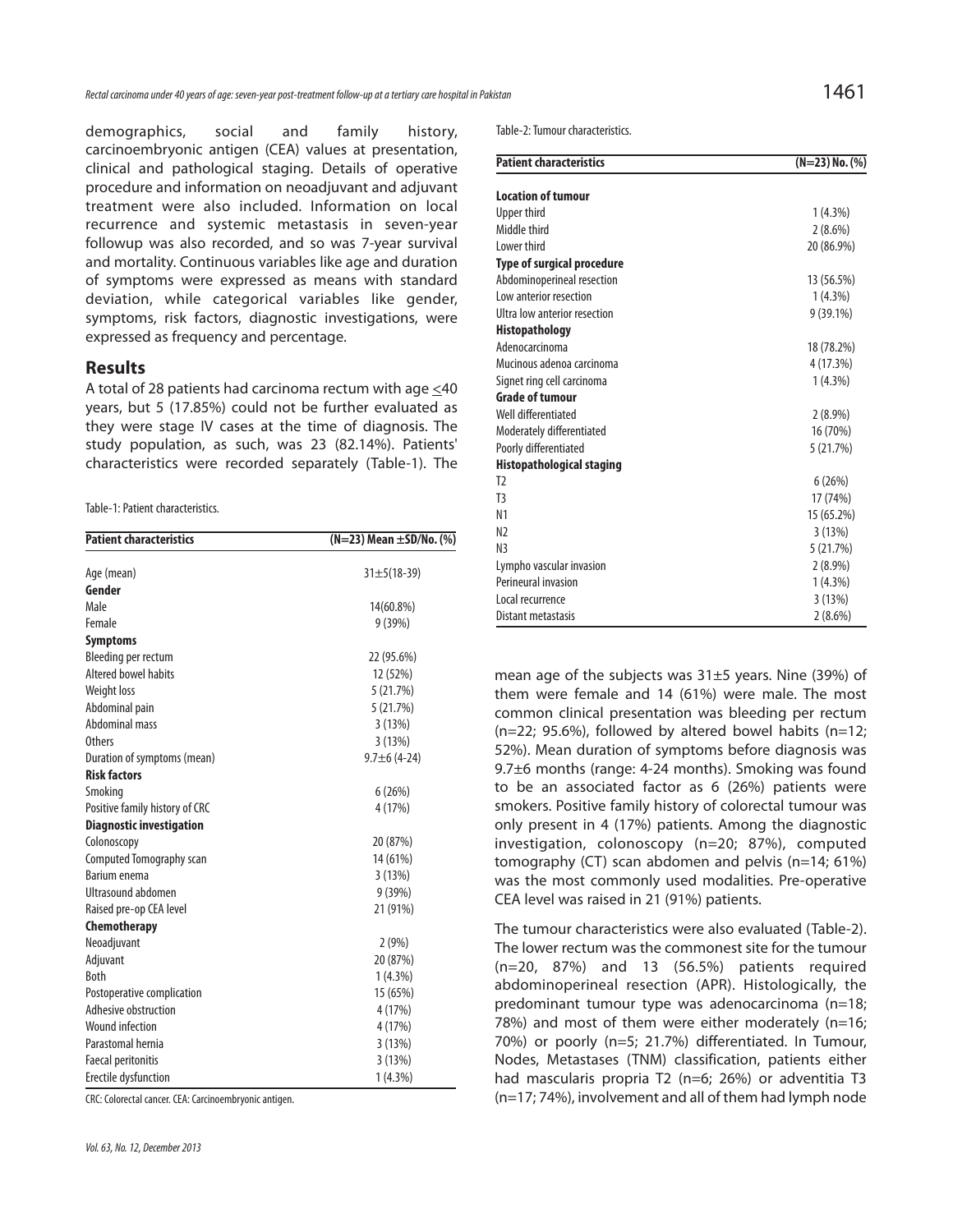demographics, social and family history, carcinoembryonic antigen (CEA) values at presentation, clinical and pathological staging. Details of operative procedure and information on neoadjuvant and adjuvant treatment were also included. Information on local recurrence and systemic metastasis in seven-year followup was also recorded, and so was 7-year survival and mortality. Continuous variables like age and duration of symptoms were expressed as means with standard deviation, while categorical variables like gender, symptoms, risk factors, diagnostic investigations, were expressed as frequency and percentage.

#### **Results**

A total of 28 patients had carcinoma rectum with age  $\leq 40$ years, but 5 (17.85%) could not be further evaluated as they were stage IV cases at the time of diagnosis. The study population, as such, was 23 (82.14%). Patients' characteristics were recorded separately (Table-1). The

Table-1: Patient characteristics.

| <b>Patient characteristics</b>  | (N=23) Mean ±SD/No. (%) |
|---------------------------------|-------------------------|
| Age (mean)                      | $31 \pm 5(18 - 39)$     |
| Gender                          |                         |
| Male                            | 14(60.8%)               |
| Female                          | 9(39%)                  |
| <b>Symptoms</b>                 |                         |
| Bleeding per rectum             | 22 (95.6%)              |
| Altered bowel habits            | 12 (52%)                |
| Weight loss                     | 5(21.7%)                |
| Abdominal pain                  | 5(21.7%)                |
| Abdominal mass                  | 3(13%)                  |
| Others                          | 3(13%)                  |
| Duration of symptoms (mean)     | $9.7 \pm 6$ (4-24)      |
| <b>Risk factors</b>             |                         |
| Smoking                         | 6(26%)                  |
| Positive family history of CRC  | 4 (17%)                 |
| <b>Diagnostic investigation</b> |                         |
| Colonoscopy                     | 20 (87%)                |
| Computed Tomography scan        | 14 (61%)                |
| <b>Barium enema</b>             | 3(13%)                  |
| Ultrasound abdomen              | 9(39%)                  |
| Raised pre-op CEA level         | 21 (91%)                |
| Chemotherapy                    |                         |
| Neoadjuvant                     | 2(9%)                   |
| Adjuvant                        | 20 (87%)                |
| Both                            | $1(4.3\%)$              |
| Postoperative complication      | 15 (65%)                |
| Adhesive obstruction            | 4 (17%)                 |
| <b>Wound infection</b>          | 4 (17%)                 |
| Parastomal hernia               | 3(13%)                  |
| <b>Faecal peritonitis</b>       | 3(13%)                  |
| Erectile dysfunction            | $1(4.3\%)$              |

CRC: Colorectal cancer. CEA: Carcinoembryonic antigen.

Table-2: Tumour characteristics.

| <b>Patient characteristics</b>    | $(N=23)$ No. $(\%)$ |
|-----------------------------------|---------------------|
| <b>Location of tumour</b>         |                     |
| Upper third                       | $1(4.3\%)$          |
| Middle third                      | $2(8.6\%)$          |
| I ower third                      | 20 (86.9%)          |
| <b>Type of surgical procedure</b> |                     |
| Abdominoperineal resection        | 13 (56.5%)          |
| Low anterior resection            | $1(4.3\%)$          |
| Ultra low anterior resection      | $9(39.1\%)$         |
| <b>Histopathology</b>             |                     |
| Adenocarcinoma                    | 18 (78.2%)          |
| Mucinous adenoa carcinoma         | 4 (17.3%)           |
| Signet ring cell carcinoma        | $1(4.3\%)$          |
| <b>Grade of tumour</b>            |                     |
| Well differentiated               | $2(8.9\%)$          |
| Moderately differentiated         | 16 (70%)            |
| Poorly differentiated             | 5(21.7%)            |
| <b>Histopathological staging</b>  |                     |
| T <sub>2</sub>                    | 6(26%)              |
| T <sub>3</sub>                    | 17 (74%)            |
| N <sub>1</sub>                    | 15 (65.2%)          |
| N <sub>2</sub>                    | 3(13%)              |
| N <sub>3</sub>                    | 5(21.7%)            |
| Lympho vascular invasion          | $2(8.9\%)$          |
| Perineural invasion               | $1(4.3\%)$          |
| Local recurrence                  | 3(13%)              |
| Distant metastasis                | $2(8.6\%)$          |

mean age of the subjects was 31±5 years. Nine (39%) of them were female and 14 (61%) were male. The most common clinical presentation was bleeding per rectum  $(n=22; 95.6%)$ , followed by altered bowel habits  $(n=12;$ 52%). Mean duration of symptoms before diagnosis was 9.7±6 months (range: 4-24 months). Smoking was found to be an associated factor as 6 (26%) patients were smokers. Positive family history of colorectal tumour was only present in 4 (17%) patients. Among the diagnostic investigation, colonoscopy (n=20; 87%), computed tomography (CT) scan abdomen and pelvis (n=14; 61%) was the most commonly used modalities. Pre-operative CEA level was raised in 21 (91%) patients.

The tumour characteristics were also evaluated (Table-2). The lower rectum was the commonest site for the tumour (n=20, 87%) and 13 (56.5%) patients required abdominoperineal resection (APR). Histologically, the predominant tumour type was adenocarcinoma (n=18; 78%) and most of them were either moderately (n=16; 70%) or poorly (n=5; 21.7%) differentiated. In Tumour, Nodes, Metastases (TNM) classification, patients either had mascularis propria T2 (n=6; 26%) or adventitia T3 (n=17; 74%), involvement and all of them had lymph node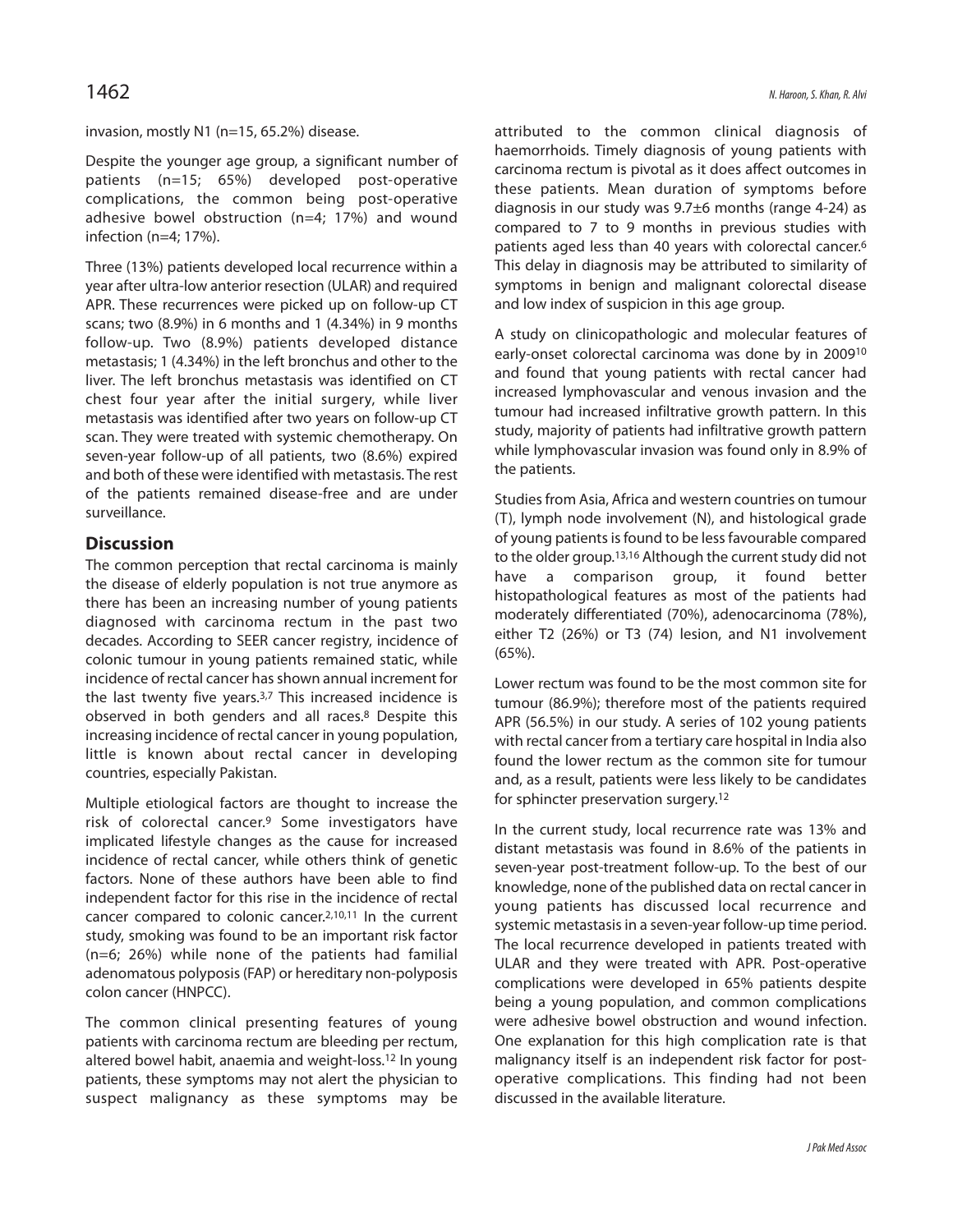invasion, mostly N1 (n=15, 65.2%) disease.

Despite the younger age group, a significant number of patients (n=15; 65%) developed post-operative complications, the common being post-operative adhesive bowel obstruction (n=4; 17%) and wound infection (n=4; 17%).

Three (13%) patients developed local recurrence within a year after ultra-low anterior resection (ULAR) and required APR. These recurrences were picked up on follow-up CT scans; two (8.9%) in 6 months and 1 (4.34%) in 9 months follow-up. Two (8.9%) patients developed distance metastasis; 1 (4.34%) in the left bronchus and other to the liver. The left bronchus metastasis was identified on CT chest four year after the initial surgery, while liver metastasis was identified after two years on follow-up CT scan. They were treated with systemic chemotherapy. On seven-year follow-up of all patients, two (8.6%) expired and both of these were identified with metastasis. The rest of the patients remained disease-free and are under surveillance.

#### **Discussion**

The common perception that rectal carcinoma is mainly the disease of elderly population is not true anymore as there has been an increasing number of young patients diagnosed with carcinoma rectum in the past two decades. According to SEER cancer registry, incidence of colonic tumour in young patients remained static, while incidence of rectal cancer has shown annual increment for the last twenty five years.3,7 This increased incidence is observed in both genders and all races.<sup>8</sup> Despite this increasing incidence of rectal cancer in young population, little is known about rectal cancer in developing countries, especially Pakistan.

Multiple etiological factors are thought to increase the risk of colorectal cancer.<sup>9</sup> Some investigators have implicated lifestyle changes as the cause for increased incidence of rectal cancer, while others think of genetic factors. None of these authors have been able to find independent factor for this rise in the incidence of rectal cancer compared to colonic cancer.2,10,11 In the current study, smoking was found to be an important risk factor (n=6; 26%) while none of the patients had familial adenomatous polyposis (FAP) or hereditary non-polyposis colon cancer (HNPCC).

The common clinical presenting features of young patients with carcinoma rectum are bleeding per rectum, altered bowel habit, anaemia and weight-loss.<sup>12</sup> In young patients, these symptoms may not alert the physician to suspect malignancy as these symptoms may be

attributed to the common clinical diagnosis of haemorrhoids. Timely diagnosis of young patients with carcinoma rectum is pivotal as it does affect outcomes in these patients. Mean duration of symptoms before diagnosis in our study was 9.7±6 months (range 4-24) as compared to 7 to 9 months in previous studies with patients aged less than 40 years with colorectal cancer.<sup>6</sup> This delay in diagnosis may be attributed to similarity of symptoms in benign and malignant colorectal disease and low index of suspicion in this age group.

A study on clinicopathologic and molecular features of early-onset colorectal carcinoma was done by in 2009<sup>10</sup> and found that young patients with rectal cancer had increased lymphovascular and venous invasion and the tumour had increased infiltrative growth pattern. In this study, majority of patients had infiltrative growth pattern while lymphovascular invasion was found only in 8.9% of the patients.

Studies from Asia, Africa and western countries on tumour (T), lymph node involvement (N), and histological grade of young patients is found to be less favourable compared to the older group.<sup>13,16</sup> Although the current study did not have a comparison group, it found better histopathological features as most of the patients had moderately differentiated (70%), adenocarcinoma (78%), either T2 (26%) or T3 (74) lesion, and N1 involvement (65%).

Lower rectum was found to be the most common site for tumour (86.9%); therefore most of the patients required APR (56.5%) in our study. A series of 102 young patients with rectal cancer from a tertiary care hospital in India also found the lower rectum as the common site for tumour and, as a result, patients were less likely to be candidates for sphincter preservation surgery.<sup>12</sup>

In the current study, local recurrence rate was 13% and distant metastasis was found in 8.6% of the patients in seven-year post-treatment follow-up. To the best of our knowledge, none of the published data on rectal cancer in young patients has discussed local recurrence and systemic metastasis in a seven-year follow-up time period. The local recurrence developed in patients treated with ULAR and they were treated with APR. Post-operative complications were developed in 65% patients despite being a young population, and common complications were adhesive bowel obstruction and wound infection. One explanation for this high complication rate is that malignancy itself is an independent risk factor for postoperative complications. This finding had not been discussed in the available literature.